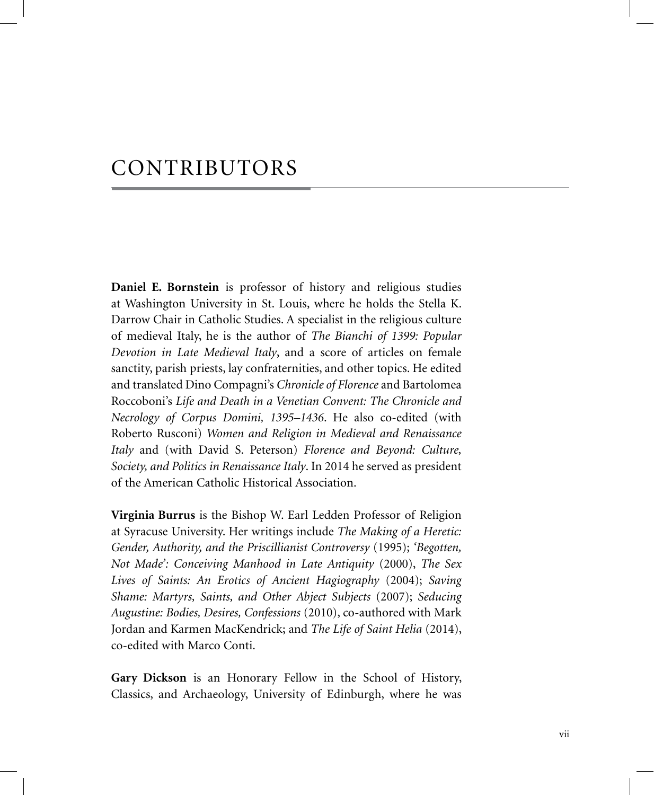## CONTRIBUTORS

**Daniel E. Bornstein** is professor of history and religious studies at Washington University in St. Louis, where he holds the Stella K. Darrow Chair in Catholic Studies. A specialist in the religious culture of medieval Italy, he is the author of *The Bianchi of 1399: Popular Devotion in Late Medieval Italy*, and a score of articles on female sanctity, parish priests, lay confraternities, and other topics. He edited and translated Dino Compagni's *Chronicle of Florence* and Bartolomea Roccoboni's *Life and Death in a Venetian Convent: The Chronicle and Necrology of Corpus Domini, 1395–1436*. He also co-edited (with Roberto Rusconi) *Women and Religion in Medieval and Renaissance Italy* and (with David S. Peterson) *Florence and Beyond: Culture, Society, and Politics in Renaissance Italy*. In 2014 he served as president of the American Catholic Historical Association.

**Virginia Burrus** is the Bishop W. Earl Ledden Professor of Religion at Syracuse University. Her writings include *The Making of a Heretic: Gender, Authority, and the Priscillianist Controversy* (1995); *'Begotten, Not Made': Conceiving Manhood in Late Antiquity* (2000), *The Sex Lives of Saints: An Erotics of Ancient Hagiography* (2004); *Saving Shame: Martyrs, Saints, and Other Abject Subjects* (2007); *Seducing Augustine: Bodies, Desires, Confessions* (2010), co-authored with Mark Jordan and Karmen MacKendrick; and *The Life of Saint Helia* (2014), co-edited with Marco Conti.

**Gary Dickson** is an Honorary Fellow in the School of History, Classics, and Archaeology, University of Edinburgh, where he was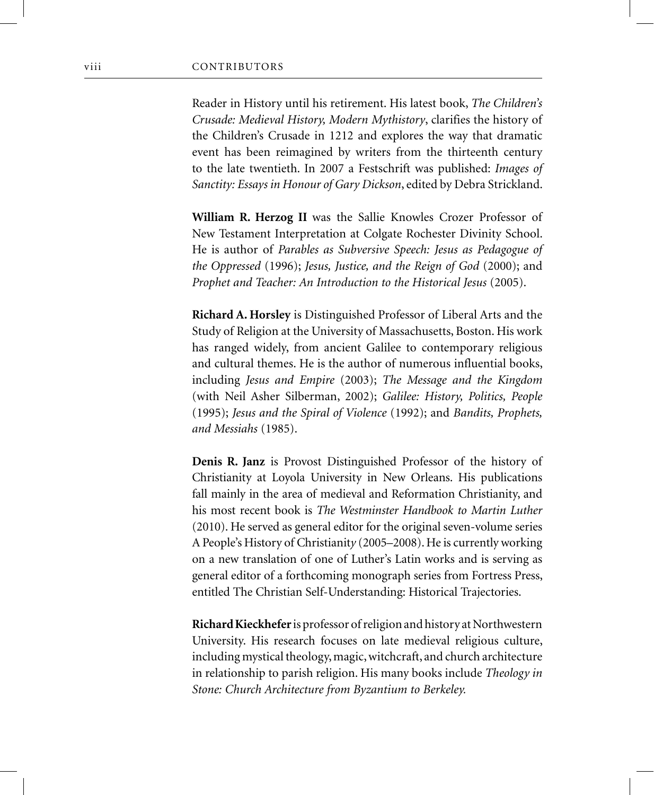Reader in History until his retirement. His latest book, *The Children's Crusade: Medieval History, Modern Mythistory*, clarifies the history of the Children's Crusade in 1212 and explores the way that dramatic event has been reimagined by writers from the thirteenth century to the late twentieth. In 2007 a Festschrift was published: *Images of Sanctity: Essays in Honour of Gary Dickson*, edited by Debra Strickland.

**William R. Herzog II** was the Sallie Knowles Crozer Professor of New Testament Interpretation at Colgate Rochester Divinity School. He is author of *Parables as Subversive Speech: Jesus as Pedagogue of the Oppressed* (1996); *Jesus, Justice, and the Reign of God* (2000); and *Prophet and Teacher: An Introduction to the Historical Jesus* (2005).

**Richard A. Horsley** is Distinguished Professor of Liberal Arts and the Study of Religion at the University of Massachusetts, Boston. His work has ranged widely, from ancient Galilee to contemporary religious and cultural themes. He is the author of numerous influential books, including *Jesus and Empire* (2003); *The Message and the Kingdom* (with Neil Asher Silberman, 2002); *Galilee: History, Politics, People* (1995); *Jesus and the Spiral of Violence* (1992); and *Bandits, Prophets, and Messiahs* (1985).

**Denis R. Janz** is Provost Distinguished Professor of the history of Christianity at Loyola University in New Orleans. His publications fall mainly in the area of medieval and Reformation Christianity, and his most recent book is *The Westminster Handbook to Martin Luther*  (2010). He served as general editor for the original seven-volume series A People's History of Christianit*y* (2005–2008). He is currently working on a new translation of one of Luther's Latin works and is serving as general editor of a forthcoming monograph series from Fortress Press, entitled The Christian Self-Understanding: Historical Trajectories.

**Richard Kieckhefer** is professor of religion and history at Northwestern University. His research focuses on late medieval religious culture, including mystical theology, magic, witchcraft, and church architecture in relationship to parish religion. His many books include *Theology in Stone: Church Architecture from Byzantium to Berkeley.*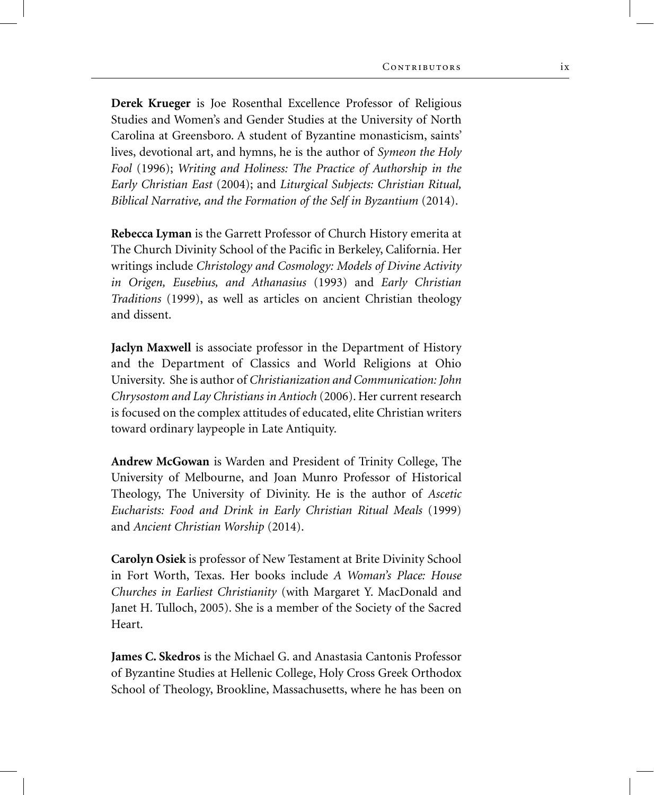**Derek Krueger** is Joe Rosenthal Excellence Professor of Religious Studies and Women's and Gender Studies at the University of North Carolina at Greensboro. A student of Byzantine monasticism, saints' lives, devotional art, and hymns, he is the author of *Symeon the Holy Fool* (1996); *Writing and Holiness: The Practice of Authorship in the Early Christian East* (2004); and *Liturgical Subjects: Christian Ritual, Biblical Narrative, and the Formation of the Self in Byzantium* (2014).

**Rebecca Lyman** is the Garrett Professor of Church History emerita at The Church Divinity School of the Pacific in Berkeley, California. Her writings include *Christology and Cosmology: Models of Divine Activity in Origen, Eusebius, and Athanasius* (1993) and *Early Christian Traditions* (1999), as well as articles on ancient Christian theology and dissent.

**Jaclyn Maxwell** is associate professor in the Department of History and the Department of Classics and World Religions at Ohio University. She is author of *Christianization and Communication: John Chrysostom and Lay Christians in Antioch* (2006). Her current research is focused on the complex attitudes of educated, elite Christian writers toward ordinary laypeople in Late Antiquity.

**Andrew McGowan** is Warden and President of Trinity College, The University of Melbourne, and Joan Munro Professor of Historical Theology, The University of Divinity. He is the author of *Ascetic Eucharists: Food and Drink in Early Christian Ritual Meals* (1999) and *Ancient Christian Worship* (2014).

**Carolyn Osiek** is professor of New Testament at Brite Divinity School in Fort Worth, Texas. Her books include *A Woman's Place: House Churches in Earliest Christianity* (with Margaret Y. MacDonald and Janet H. Tulloch, 2005). She is a member of the Society of the Sacred Heart.

**James C. Skedros** is the Michael G. and Anastasia Cantonis Professor of Byzantine Studies at Hellenic College, Holy Cross Greek Orthodox School of Theology, Brookline, Massachusetts, where he has been on